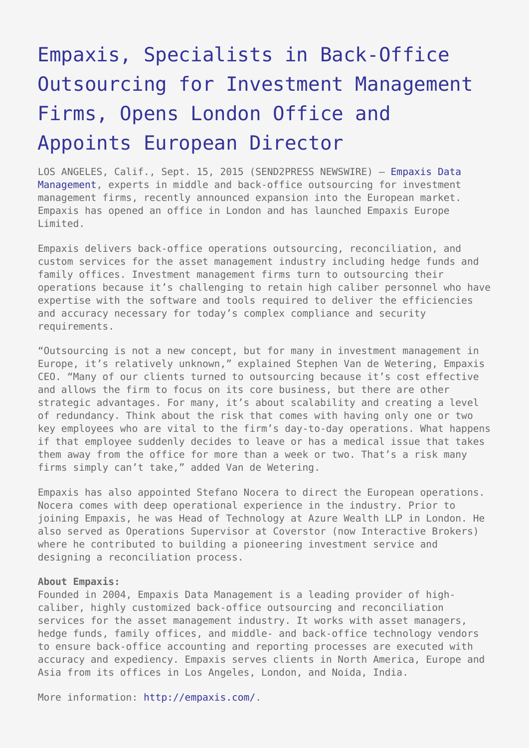## [Empaxis, Specialists in Back-Office](https://www.send2press.com/wire/empaxis-specialists-in-back-office-outsourcing-for-investment-management-firms-opens-london-office-and-appoints-european-director-2015-0915-09/) [Outsourcing for Investment Management](https://www.send2press.com/wire/empaxis-specialists-in-back-office-outsourcing-for-investment-management-firms-opens-london-office-and-appoints-european-director-2015-0915-09/) [Firms, Opens London Office and](https://www.send2press.com/wire/empaxis-specialists-in-back-office-outsourcing-for-investment-management-firms-opens-london-office-and-appoints-european-director-2015-0915-09/) [Appoints European Director](https://www.send2press.com/wire/empaxis-specialists-in-back-office-outsourcing-for-investment-management-firms-opens-london-office-and-appoints-european-director-2015-0915-09/)

LOS ANGELES, Calif., Sept. 15, 2015 (SEND2PRESS NEWSWIRE) — [Empaxis Data](http://empaxis.com/) [Management,](http://empaxis.com/) experts in middle and back-office outsourcing for investment management firms, recently announced expansion into the European market. Empaxis has opened an office in London and has launched Empaxis Europe Limited.

Empaxis delivers back-office operations outsourcing, reconciliation, and custom services for the asset management industry including hedge funds and family offices. Investment management firms turn to outsourcing their operations because it's challenging to retain high caliber personnel who have expertise with the software and tools required to deliver the efficiencies and accuracy necessary for today's complex compliance and security requirements.

"Outsourcing is not a new concept, but for many in investment management in Europe, it's relatively unknown," explained Stephen Van de Wetering, Empaxis CEO. "Many of our clients turned to outsourcing because it's cost effective and allows the firm to focus on its core business, but there are other strategic advantages. For many, it's about scalability and creating a level of redundancy. Think about the risk that comes with having only one or two key employees who are vital to the firm's day-to-day operations. What happens if that employee suddenly decides to leave or has a medical issue that takes them away from the office for more than a week or two. That's a risk many firms simply can't take," added Van de Wetering.

Empaxis has also appointed Stefano Nocera to direct the European operations. Nocera comes with deep operational experience in the industry. Prior to joining Empaxis, he was Head of Technology at Azure Wealth LLP in London. He also served as Operations Supervisor at Coverstor (now Interactive Brokers) where he contributed to building a pioneering investment service and designing a reconciliation process.

## **About Empaxis:**

Founded in 2004, Empaxis Data Management is a leading provider of highcaliber, highly customized back-office outsourcing and reconciliation services for the asset management industry. It works with asset managers, hedge funds, family offices, and middle- and back-office technology vendors to ensure back-office accounting and reporting processes are executed with accuracy and expediency. Empaxis serves clients in North America, Europe and Asia from its offices in Los Angeles, London, and Noida, India.

More information: [http://empaxis.com/.](http://empaxis.com/)